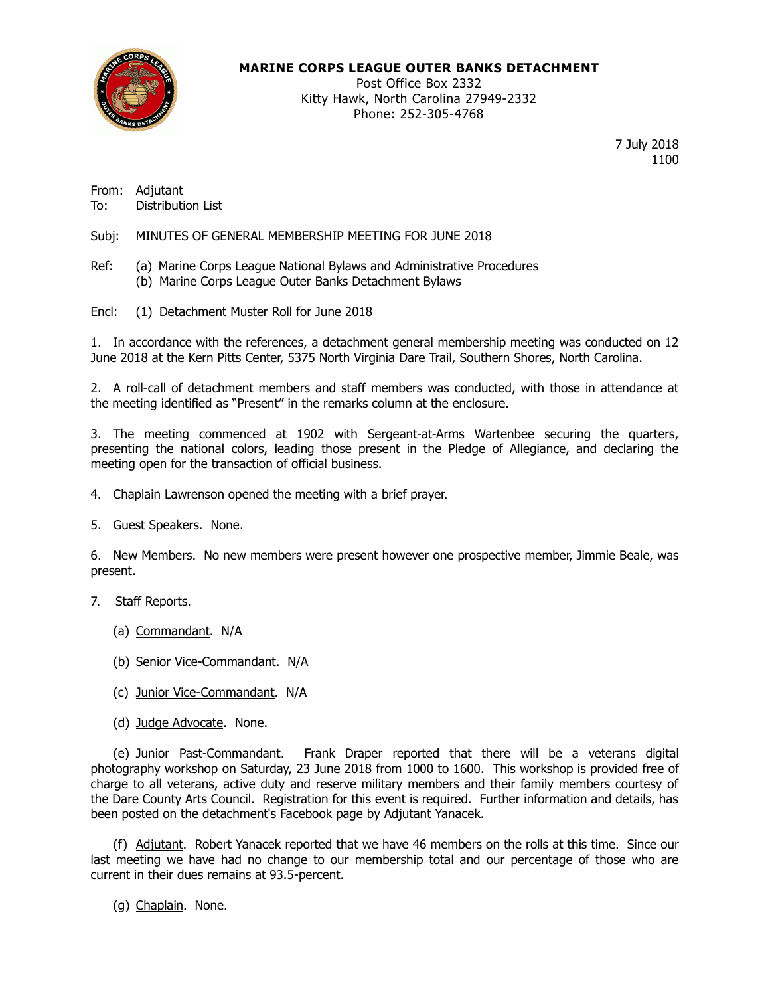

### **MARINE CORPS LEAGUE OUTER BANKS DETACHMENT**

Post Office Box 2332 Kitty Hawk, North Carolina 27949-2332 Phone: 252-305-4768

> 7 July 2018 1100

From: Adjutant To: Distribution List

Subj: MINUTES OF GENERAL MEMBERSHIP MEETING FOR JUNE 2018

- Ref: (a) Marine Corps League National Bylaws and Administrative Procedures (b) Marine Corps League Outer Banks Detachment Bylaws
- Encl: (1) Detachment Muster Roll for June 2018

1. In accordance with the references, a detachment general membership meeting was conducted on 12 June 2018 at the Kern Pitts Center, 5375 North Virginia Dare Trail, Southern Shores, North Carolina.

2. A roll-call of detachment members and staff members was conducted, with those in attendance at the meeting identified as "Present" in the remarks column at the enclosure.

3. The meeting commenced at 1902 with Sergeant-at-Arms Wartenbee securing the quarters, presenting the national colors, leading those present in the Pledge of Allegiance, and declaring the meeting open for the transaction of official business.

- 4. Chaplain Lawrenson opened the meeting with a brief prayer.
- 5. Guest Speakers. None.

6. New Members. No new members were present however one prospective member, Jimmie Beale, was present.

7. Staff Reports.

- (a) Commandant. N/A
- (b) Senior Vice-Commandant. N/A
- (c) Junior Vice-Commandant. N/A
- (d) Judge Advocate. None.

(e) Junior Past-Commandant. Frank Draper reported that there will be a veterans digital photography workshop on Saturday, 23 June 2018 from 1000 to 1600. This workshop is provided free of charge to all veterans, active duty and reserve military members and their family members courtesy of the Dare County Arts Council. Registration for this event is required. Further information and details, has been posted on the detachment's Facebook page by Adjutant Yanacek.

(f) Adjutant. Robert Yanacek reported that we have 46 members on the rolls at this time. Since our last meeting we have had no change to our membership total and our percentage of those who are current in their dues remains at 93.5-percent.

(g) Chaplain. None.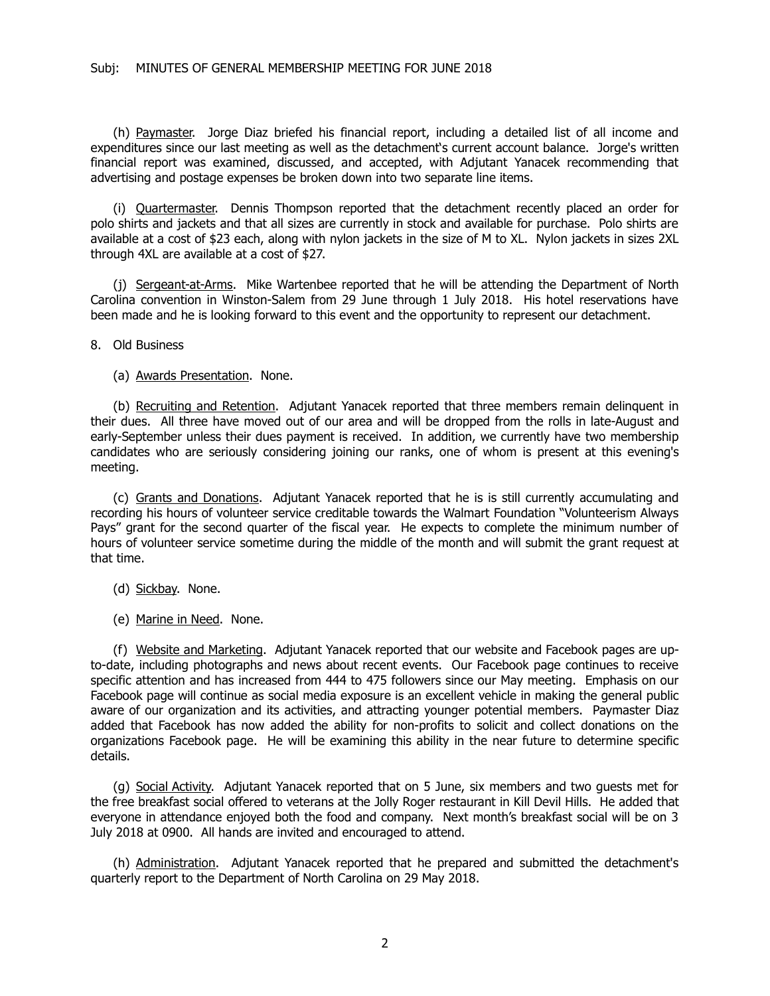(h) Paymaster. Jorge Diaz briefed his financial report, including a detailed list of all income and expenditures since our last meeting as well as the detachment's current account balance. Jorge's written financial report was examined, discussed, and accepted, with Adjutant Yanacek recommending that advertising and postage expenses be broken down into two separate line items.

(i) Quartermaster. Dennis Thompson reported that the detachment recently placed an order for polo shirts and jackets and that all sizes are currently in stock and available for purchase. Polo shirts are available at a cost of \$23 each, along with nylon jackets in the size of M to XL. Nylon jackets in sizes 2XL through 4XL are available at a cost of \$27.

(j) Sergeant-at-Arms. Mike Wartenbee reported that he will be attending the Department of North Carolina convention in Winston-Salem from 29 June through 1 July 2018. His hotel reservations have been made and he is looking forward to this event and the opportunity to represent our detachment.

8. Old Business

(a) Awards Presentation. None.

(b) Recruiting and Retention. Adjutant Yanacek reported that three members remain delinquent in their dues. All three have moved out of our area and will be dropped from the rolls in late-August and early-September unless their dues payment is received. In addition, we currently have two membership candidates who are seriously considering joining our ranks, one of whom is present at this evening's meeting.

(c) Grants and Donations. Adjutant Yanacek reported that he is is still currently accumulating and recording his hours of volunteer service creditable towards the Walmart Foundation "Volunteerism Always Pays" grant for the second quarter of the fiscal year. He expects to complete the minimum number of hours of volunteer service sometime during the middle of the month and will submit the grant request at that time.

- (d) Sickbay. None.
- (e) Marine in Need. None.

(f) Website and Marketing. Adjutant Yanacek reported that our website and Facebook pages are upto-date, including photographs and news about recent events. Our Facebook page continues to receive specific attention and has increased from 444 to 475 followers since our May meeting. Emphasis on our Facebook page will continue as social media exposure is an excellent vehicle in making the general public aware of our organization and its activities, and attracting younger potential members. Paymaster Diaz added that Facebook has now added the ability for non-profits to solicit and collect donations on the organizations Facebook page. He will be examining this ability in the near future to determine specific details.

(g) Social Activity. Adjutant Yanacek reported that on 5 June, six members and two guests met for the free breakfast social offered to veterans at the Jolly Roger restaurant in Kill Devil Hills. He added that everyone in attendance enjoyed both the food and company. Next month's breakfast social will be on 3 July 2018 at 0900. All hands are invited and encouraged to attend.

(h) Administration. Adjutant Yanacek reported that he prepared and submitted the detachment's quarterly report to the Department of North Carolina on 29 May 2018.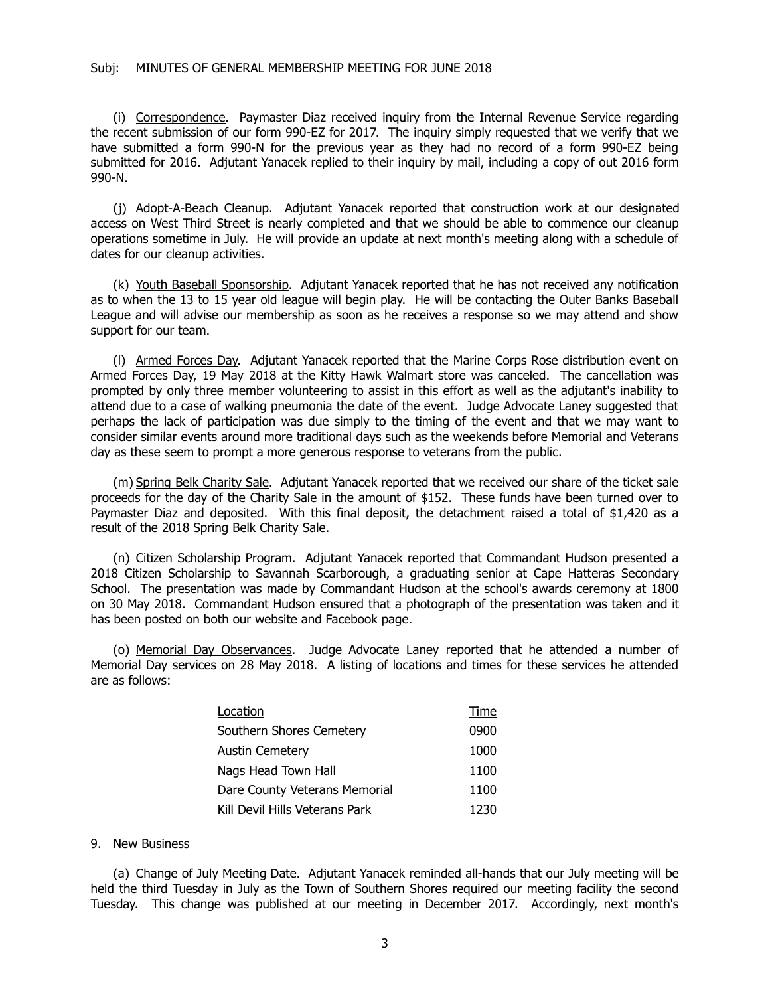#### Subj: MINUTES OF GENERAL MEMBERSHIP MEETING FOR JUNE 2018

(i) Correspondence. Paymaster Diaz received inquiry from the Internal Revenue Service regarding the recent submission of our form 990-EZ for 2017. The inquiry simply requested that we verify that we have submitted a form 990-N for the previous year as they had no record of a form 990-EZ being submitted for 2016. Adjutant Yanacek replied to their inquiry by mail, including a copy of out 2016 form 990-N.

(j) Adopt-A-Beach Cleanup. Adjutant Yanacek reported that construction work at our designated access on West Third Street is nearly completed and that we should be able to commence our cleanup operations sometime in July. He will provide an update at next month's meeting along with a schedule of dates for our cleanup activities.

(k) Youth Baseball Sponsorship. Adjutant Yanacek reported that he has not received any notification as to when the 13 to 15 year old league will begin play. He will be contacting the Outer Banks Baseball League and will advise our membership as soon as he receives a response so we may attend and show support for our team.

(l) Armed Forces Day. Adjutant Yanacek reported that the Marine Corps Rose distribution event on Armed Forces Day, 19 May 2018 at the Kitty Hawk Walmart store was canceled. The cancellation was prompted by only three member volunteering to assist in this effort as well as the adjutant's inability to attend due to a case of walking pneumonia the date of the event. Judge Advocate Laney suggested that perhaps the lack of participation was due simply to the timing of the event and that we may want to consider similar events around more traditional days such as the weekends before Memorial and Veterans day as these seem to prompt a more generous response to veterans from the public.

(m) Spring Belk Charity Sale. Adjutant Yanacek reported that we received our share of the ticket sale proceeds for the day of the Charity Sale in the amount of \$152. These funds have been turned over to Paymaster Diaz and deposited. With this final deposit, the detachment raised a total of \$1,420 as a result of the 2018 Spring Belk Charity Sale.

(n) Citizen Scholarship Program. Adjutant Yanacek reported that Commandant Hudson presented a 2018 Citizen Scholarship to Savannah Scarborough, a graduating senior at Cape Hatteras Secondary School. The presentation was made by Commandant Hudson at the school's awards ceremony at 1800 on 30 May 2018. Commandant Hudson ensured that a photograph of the presentation was taken and it has been posted on both our website and Facebook page.

(o) Memorial Day Observances. Judge Advocate Laney reported that he attended a number of Memorial Day services on 28 May 2018. A listing of locations and times for these services he attended are as follows:

| Location                       | Time |
|--------------------------------|------|
| Southern Shores Cemetery       | 0900 |
| <b>Austin Cemetery</b>         | 1000 |
| Nags Head Town Hall            | 1100 |
| Dare County Veterans Memorial  | 1100 |
| Kill Devil Hills Veterans Park | 1230 |

### 9. New Business

(a) Change of July Meeting Date. Adjutant Yanacek reminded all-hands that our July meeting will be held the third Tuesday in July as the Town of Southern Shores required our meeting facility the second Tuesday. This change was published at our meeting in December 2017. Accordingly, next month's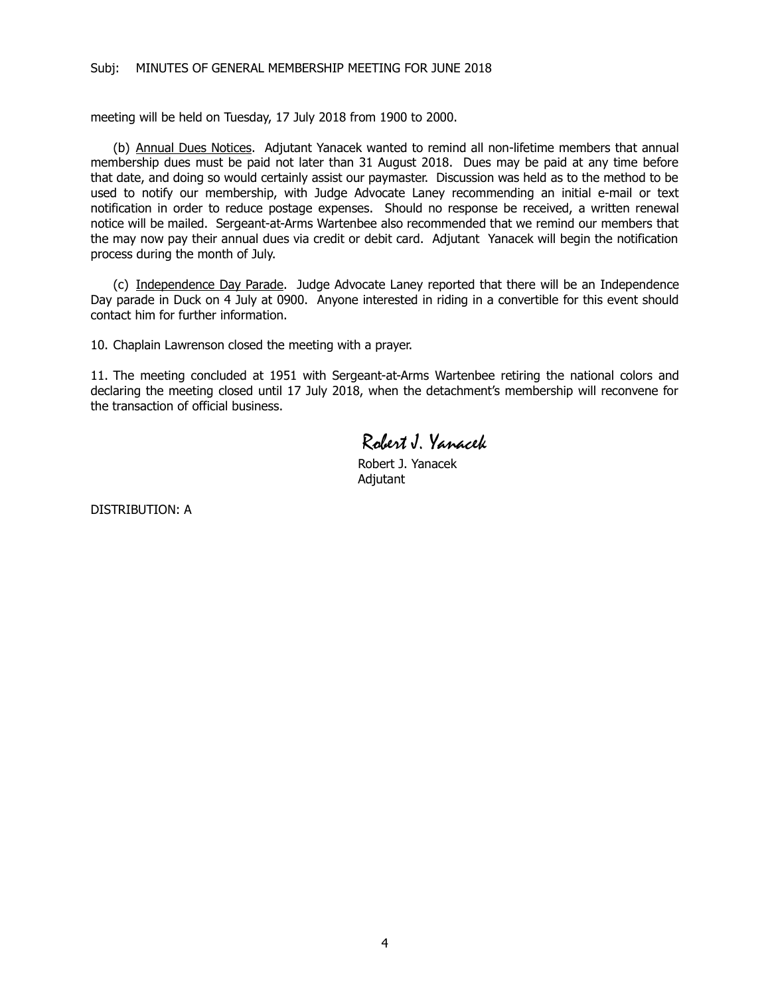meeting will be held on Tuesday, 17 July 2018 from 1900 to 2000.

(b) Annual Dues Notices. Adjutant Yanacek wanted to remind all non-lifetime members that annual membership dues must be paid not later than 31 August 2018. Dues may be paid at any time before that date, and doing so would certainly assist our paymaster. Discussion was held as to the method to be used to notify our membership, with Judge Advocate Laney recommending an initial e-mail or text notification in order to reduce postage expenses. Should no response be received, a written renewal notice will be mailed. Sergeant-at-Arms Wartenbee also recommended that we remind our members that the may now pay their annual dues via credit or debit card. Adjutant Yanacek will begin the notification process during the month of July.

(c) Independence Day Parade. Judge Advocate Laney reported that there will be an Independence Day parade in Duck on 4 July at 0900. Anyone interested in riding in a convertible for this event should contact him for further information.

10. Chaplain Lawrenson closed the meeting with a prayer.

11. The meeting concluded at 1951 with Sergeant-at-Arms Wartenbee retiring the national colors and declaring the meeting closed until 17 July 2018, when the detachment's membership will reconvene for the transaction of official business.

Robert J. Yanacek

Robert J. Yanacek Adjutant

DISTRIBUTION: A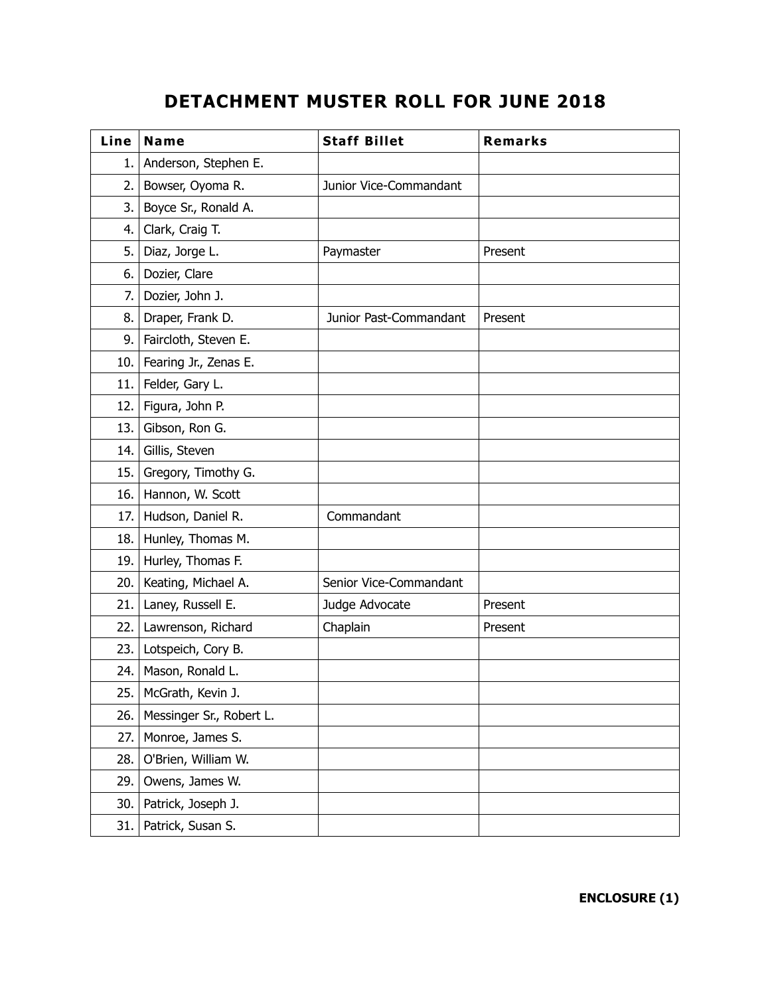# **DETACHMENT MUSTER ROLL FOR JUNE 2018**

| Line | <b>Name</b>              | <b>Staff Billet</b>    | <b>Remarks</b> |
|------|--------------------------|------------------------|----------------|
| 1.   | Anderson, Stephen E.     |                        |                |
| 2.   | Bowser, Oyoma R.         | Junior Vice-Commandant |                |
| 3.   | Boyce Sr., Ronald A.     |                        |                |
| 4.   | Clark, Craig T.          |                        |                |
| 5.   | Diaz, Jorge L.           | Paymaster              | Present        |
| 6.   | Dozier, Clare            |                        |                |
| 7.   | Dozier, John J.          |                        |                |
| 8.   | Draper, Frank D.         | Junior Past-Commandant | Present        |
| 9.   | Faircloth, Steven E.     |                        |                |
| 10.  | Fearing Jr., Zenas E.    |                        |                |
| 11.  | Felder, Gary L.          |                        |                |
| 12.  | Figura, John P.          |                        |                |
| 13.  | Gibson, Ron G.           |                        |                |
| 14.  | Gillis, Steven           |                        |                |
| 15.  | Gregory, Timothy G.      |                        |                |
| 16.  | Hannon, W. Scott         |                        |                |
| 17.  | Hudson, Daniel R.        | Commandant             |                |
| 18.  | Hunley, Thomas M.        |                        |                |
| 19.  | Hurley, Thomas F.        |                        |                |
| 20.  | Keating, Michael A.      | Senior Vice-Commandant |                |
| 21.  | Laney, Russell E.        | Judge Advocate         | Present        |
| 22.  | Lawrenson, Richard       | Chaplain               | Present        |
| 23.  | Lotspeich, Cory B.       |                        |                |
| 24.  | Mason, Ronald L.         |                        |                |
| 25.  | McGrath, Kevin J.        |                        |                |
| 26.  | Messinger Sr., Robert L. |                        |                |
| 27.  | Monroe, James S.         |                        |                |
| 28.  | O'Brien, William W.      |                        |                |
| 29.  | Owens, James W.          |                        |                |
| 30.  | Patrick, Joseph J.       |                        |                |
| 31.  | Patrick, Susan S.        |                        |                |